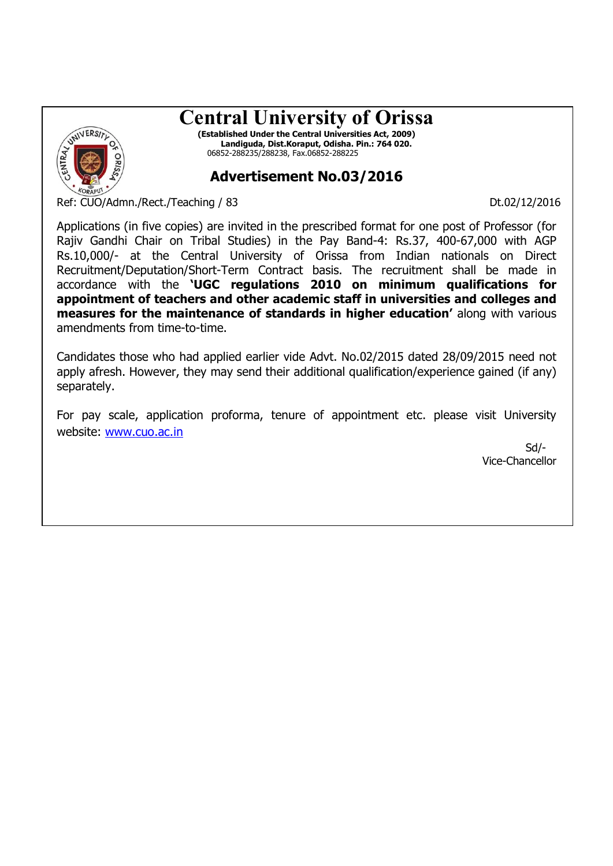# **Central University of Orissa**



**(Established Under the Central Universities Act, 2009) Landiguda, Dist.Koraput, Odisha. Pin.: 764 020.** 06852-288235/288238, Fax.06852-288225

## **Advertisement No.03/2016**

Ref: CUO/Admn./Rect./Teaching / 83 Dt.02/12/2016

Applications (in five copies) are invited in the prescribed format for one post of Professor (for Rajiv Gandhi Chair on Tribal Studies) in the Pay Band-4: Rs.37, 400-67,000 with AGP Rs.10,000/- at the Central University of Orissa from Indian nationals on Direct Recruitment/Deputation/Short-Term Contract basis. The recruitment shall be made in accordance with the **'UGC regulations 2010 on minimum qualifications for appointment of teachers and other academic staff in universities and colleges and measures for the maintenance of standards in higher education'** along with various amendments from time-to-time.

Candidates those who had applied earlier vide Advt. No.02/2015 dated 28/09/2015 need not apply afresh. However, they may send their additional qualification/experience gained (if any) separately.

For pay scale, application proforma, tenure of appointment etc. please visit University website: www.cuo.ac.in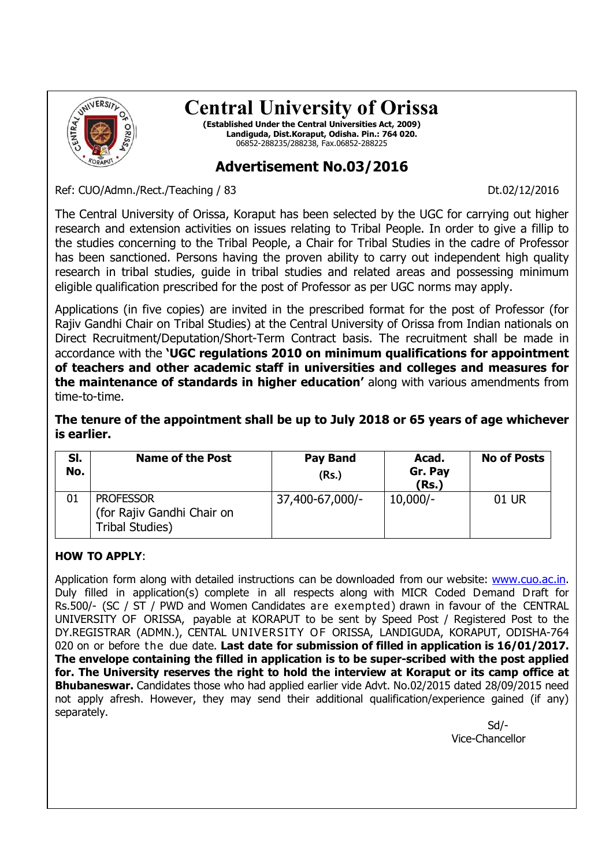

## **Central University of Orissa**

**(Established Under the Central Universities Act, 2009) Landiguda, Dist.Koraput, Odisha. Pin.: 764 020.** 06852-288235/288238, Fax.06852-288225

### **Advertisement No.03/2016**

Ref: CUO/Admn./Rect./Teaching / 83 Dt.02/12/2016

The Central University of Orissa, Koraput has been selected by the UGC for carrying out higher research and extension activities on issues relating to Tribal People. In order to give a fillip to the studies concerning to the Tribal People, a Chair for Tribal Studies in the cadre of Professor has been sanctioned. Persons having the proven ability to carry out independent high quality research in tribal studies, guide in tribal studies and related areas and possessing minimum eligible qualification prescribed for the post of Professor as per UGC norms may apply.

Applications (in five copies) are invited in the prescribed format for the post of Professor (for Rajiv Gandhi Chair on Tribal Studies) at the Central University of Orissa from Indian nationals on Direct Recruitment/Deputation/Short-Term Contract basis. The recruitment shall be made in accordance with the **'UGC regulations 2010 on minimum qualifications for appointment of teachers and other academic staff in universities and colleges and measures for the maintenance of standards in higher education'** along with various amendments from time-to-time.

**The tenure of the appointment shall be up to July 2018 or 65 years of age whichever is earlier.**

| SI.<br>No. | <b>Name of the Post</b>                                                  | <b>Pay Band</b><br>(Rs.) | Acad.<br>Gr. Pay<br>(Rs.) | <b>No of Posts</b> |
|------------|--------------------------------------------------------------------------|--------------------------|---------------------------|--------------------|
| 01         | <b>PROFESSOR</b><br>(for Rajiv Gandhi Chair on<br><b>Tribal Studies)</b> | 37,400-67,000/-          | $10,000/-$                | 01 UR              |

#### **HOW TO APPLY**:

Application form along with detailed instructions can be downloaded from our website: www.cuo.ac.in. Duly filled in application(s) complete in all respects along with MICR Coded Demand Draft for Rs.500/- (SC / ST / PWD and Women Candidates are exempted) drawn in favour of the CENTRAL UNIVERSITY OF ORISSA, payable at KORAPUT to be sent by Speed Post / Registered Post to the DY.REGISTRAR (ADMN.), CENTAL UNIVERSITY OF ORISSA, LANDIGUDA, KORAPUT, ODISHA-764 020 on or before the due date. **Last date for submission of filled in application is 16/01/2017. The envelope containing the filled in application is to be super-scribed with the post applied for. The University reserves the right to hold the interview at Koraput or its camp office at Bhubaneswar.** Candidates those who had applied earlier vide Advt. No.02/2015 dated 28/09/2015 need not apply afresh. However, they may send their additional qualification/experience gained (if any) separately.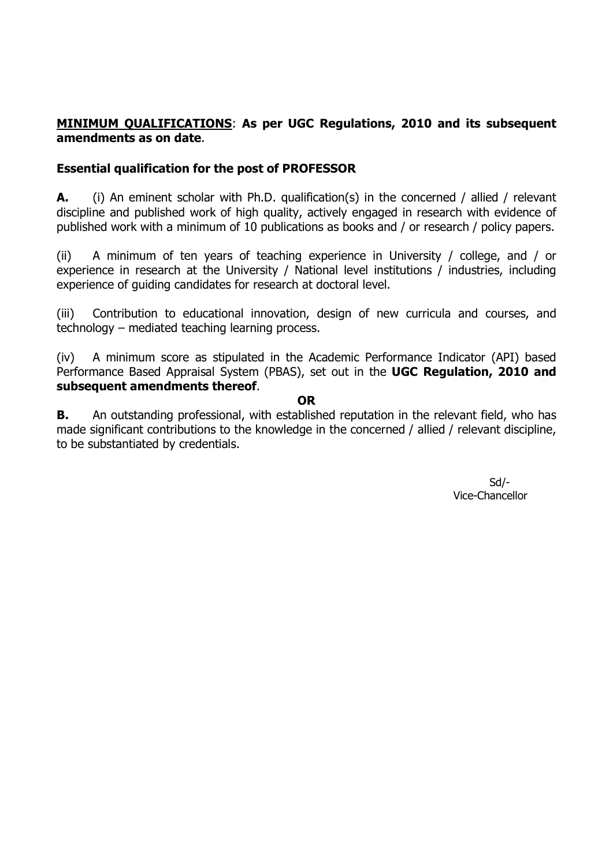#### **MINIMUM QUALIFICATIONS**: **As per UGC Regulations, 2010 and its subsequent amendments as on date**.

#### **Essential qualification for the post of PROFESSOR**

**A.** (i) An eminent scholar with Ph.D. qualification(s) in the concerned / allied / relevant discipline and published work of high quality, actively engaged in research with evidence of published work with a minimum of 10 publications as books and / or research / policy papers.

(ii) A minimum of ten years of teaching experience in University / college, and / or experience in research at the University / National level institutions / industries, including experience of guiding candidates for research at doctoral level.

(iii) Contribution to educational innovation, design of new curricula and courses, and technology – mediated teaching learning process.

(iv) A minimum score as stipulated in the Academic Performance Indicator (API) based Performance Based Appraisal System (PBAS), set out in the **UGC Regulation, 2010 and subsequent amendments thereof**.

**OR**

**B.** An outstanding professional, with established reputation in the relevant field, who has made significant contributions to the knowledge in the concerned / allied / relevant discipline, to be substantiated by credentials.